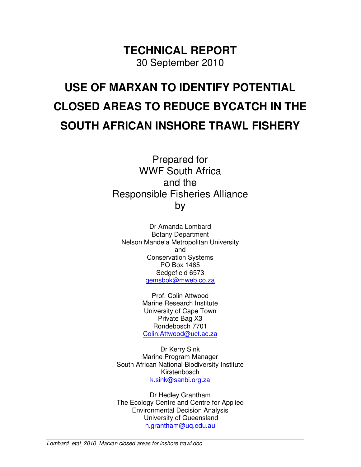**TECHNICAL REPORT**  30 September 2010

# **USE OF MARXAN TO IDENTIFY POTENTIAL CLOSED AREAS TO REDUCE BYCATCH IN THE SOUTH AFRICAN INSHORE TRAWL FISHERY**

Prepared for WWF South Africa and the Responsible Fisheries Alliance by

Dr Amanda Lombard Botany Department Nelson Mandela Metropolitan University and Conservation Systems PO Box 1465 Sedgefield 6573 gemsbok@mweb.co.za

> Prof. Colin Attwood Marine Research Institute University of Cape Town Private Bag X3 Rondebosch 7701 Colin.Attwood@uct.ac.za

Dr Kerry Sink Marine Program Manager South African National Biodiversity Institute Kirstenbosch k.sink@sanbi.org.za

Dr Hedley Grantham The Ecology Centre and Centre for Applied Environmental Decision Analysis University of Queensland h.grantham@uq.edu.au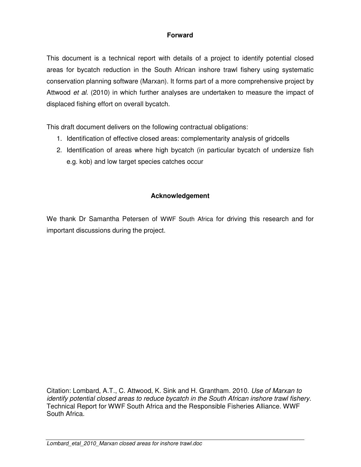## **Forward**

This document is a technical report with details of a project to identify potential closed areas for bycatch reduction in the South African inshore trawl fishery using systematic conservation planning software (Marxan). It forms part of a more comprehensive project by Attwood et al. (2010) in which further analyses are undertaken to measure the impact of displaced fishing effort on overall bycatch.

This draft document delivers on the following contractual obligations:

- 1. Identification of effective closed areas: complementarity analysis of gridcells
- 2. Identification of areas where high bycatch (in particular bycatch of undersize fish e.g. kob) and low target species catches occur

#### **Acknowledgement**

We thank Dr Samantha Petersen of WWF South Africa for driving this research and for important discussions during the project.

Citation: Lombard, A.T., C. Attwood, K. Sink and H. Grantham. 2010. Use of Marxan to identify potential closed areas to reduce bycatch in the South African inshore trawl fishery. Technical Report for WWF South Africa and the Responsible Fisheries Alliance. WWF South Africa.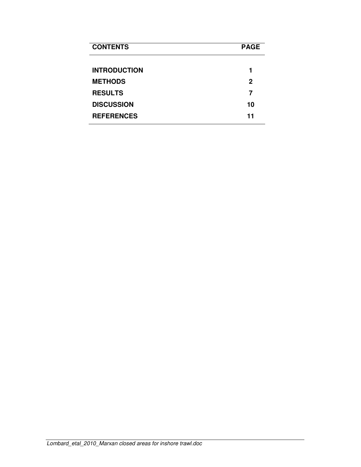| <b>CONTENTS</b>     | <b>PAGE</b> |
|---------------------|-------------|
| <b>INTRODUCTION</b> |             |
| <b>METHODS</b>      | 2           |
| <b>RESULTS</b>      | 7           |
| <b>DISCUSSION</b>   | 10          |
| <b>REFERENCES</b>   | 11          |
|                     |             |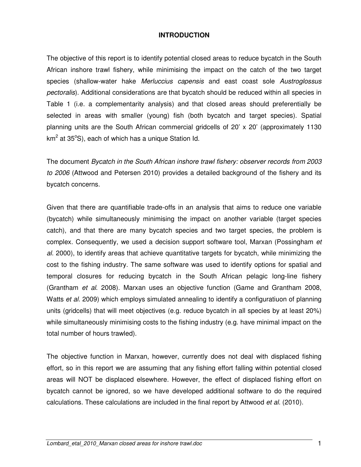#### **INTRODUCTION**

The objective of this report is to identify potential closed areas to reduce bycatch in the South African inshore trawl fishery, while minimising the impact on the catch of the two target species (shallow-water hake Merluccius capensis and east coast sole Austroglossus pectoralis). Additional considerations are that bycatch should be reduced within all species in Table 1 (i.e. a complementarity analysis) and that closed areas should preferentially be selected in areas with smaller (young) fish (both bycatch and target species). Spatial planning units are the South African commercial gridcells of 20' x 20' (approximately 1130 km<sup>2</sup> at 35°S), each of which has a unique Station Id.

The document Bycatch in the South African inshore trawl fishery: observer records from 2003 to 2006 (Attwood and Petersen 2010) provides a detailed background of the fishery and its bycatch concerns.

Given that there are quantifiable trade-offs in an analysis that aims to reduce one variable (bycatch) while simultaneously minimising the impact on another variable (target species catch), and that there are many bycatch species and two target species, the problem is complex. Consequently, we used a decision support software tool, Marxan (Possingham et al. 2000), to identify areas that achieve quantitative targets for bycatch, while minimizing the cost to the fishing industry. The same software was used to identify options for spatial and temporal closures for reducing bycatch in the South African pelagic long-line fishery (Grantham et al. 2008). Marxan uses an objective function (Game and Grantham 2008, Watts et al. 2009) which employs simulated annealing to identify a configuratiuon of planning units (gridcells) that will meet objectives (e.g. reduce bycatch in all species by at least 20%) while simultaneously minimising costs to the fishing industry (e.g. have minimal impact on the total number of hours trawled).

The objective function in Marxan, however, currently does not deal with displaced fishing effort, so in this report we are assuming that any fishing effort falling within potential closed areas will NOT be displaced elsewhere. However, the effect of displaced fishing effort on bycatch cannot be ignored, so we have developed additional software to do the required calculations. These calculations are included in the final report by Attwood et al. (2010).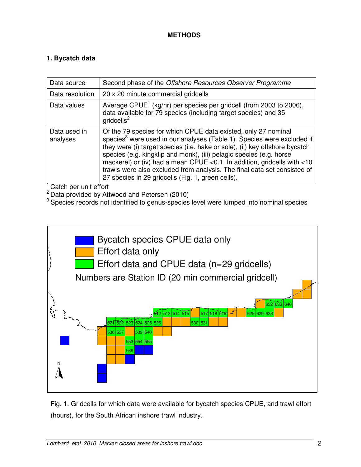### **METHODS**

## **1. Bycatch data**

| Data source              | Second phase of the Offshore Resources Observer Programme                                                                                                                                                                                                                                                                                                                                                                                                                                                               |
|--------------------------|-------------------------------------------------------------------------------------------------------------------------------------------------------------------------------------------------------------------------------------------------------------------------------------------------------------------------------------------------------------------------------------------------------------------------------------------------------------------------------------------------------------------------|
| Data resolution          | 20 x 20 minute commercial gridcells                                                                                                                                                                                                                                                                                                                                                                                                                                                                                     |
| Data values              | Average CPUE <sup>1</sup> (kg/hr) per species per gridcell (from 2003 to 2006),<br>data available for 79 species (including target species) and 35<br>gridcells <sup>2</sup>                                                                                                                                                                                                                                                                                                                                            |
| Data used in<br>analyses | Of the 79 species for which CPUE data existed, only 27 nominal<br>species <sup>3</sup> were used in our analyses (Table 1). Species were excluded if<br>they were (i) target species (i.e. hake or sole), (ii) key offshore bycatch<br>species (e.g. kingklip and monk), (iii) pelagic species (e.g. horse<br>mackerel) or (iv) had a mean CPUE < 0.1. In addition, gridcells with <10<br>trawls were also excluded from analysis. The final data set consisted of<br>27 species in 29 gridcells (Fig. 1, green cells). |

<sup>1</sup> Catch per unit effort

 $2\overline{})$  Data provided by Attwood and Petersen (2010)

<sup>3</sup> Species records not identified to genus-species level were lumped into nominal species



Fig. 1. Gridcells for which data were available for bycatch species CPUE, and trawl effort (hours), for the South African inshore trawl industry.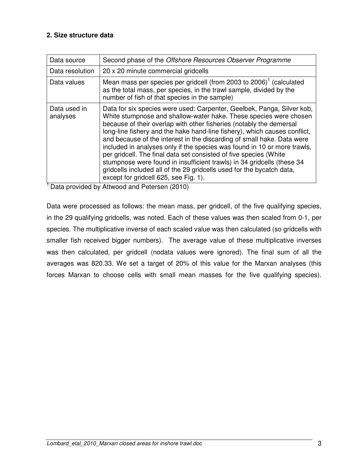#### **2. Size structure data**

| Data source              | Second phase of the Offshore Resources Observer Programme                                                                                                                                                                                                                                                                                                                                                                                                                                                                                                                                                                                                                                                              |
|--------------------------|------------------------------------------------------------------------------------------------------------------------------------------------------------------------------------------------------------------------------------------------------------------------------------------------------------------------------------------------------------------------------------------------------------------------------------------------------------------------------------------------------------------------------------------------------------------------------------------------------------------------------------------------------------------------------------------------------------------------|
| Data resolution          | 20 x 20 minute commercial gridcells                                                                                                                                                                                                                                                                                                                                                                                                                                                                                                                                                                                                                                                                                    |
| Data values              | Mean mass per species per gridcell (from 2003 to 2006) <sup>1</sup> (calculated<br>as the total mass, per species, in the trawl sample, divided by the<br>number of fish of that species in the sample)                                                                                                                                                                                                                                                                                                                                                                                                                                                                                                                |
| Data used in<br>analyses | Data for six species were used: Carpenter, Geelbek, Panga, Silver kob,<br>White stumpnose and shallow-water hake. These species were chosen<br>because of their overlap with other fisheries (notably the demersal<br>long-line fishery and the hake hand-line fishery), which causes conflict,<br>and because of the interest in the discarding of small hake. Data were<br>included in analyses only if the species was found in 10 or more trawls,<br>per gridcell. The final data set consisted of five species (White<br>stumpnose were found in insufficient trawls) in 34 gridcells (these 34<br>gridcells included all of the 29 gridcells used for the bycatch data,<br>except for gridcell 625, see Fig. 1). |

<sup>1</sup> Data provided by Attwood and Petersen (2010)

Data were processed as follows: the mean mass, per gridcell, of the five qualifying species, in the 29 qualifying gridcells, was noted. Each of these values was then scaled from 0-1, per species. The multiplicative inverse of each scaled value was then calculated (so gridcells with smaller fish received bigger numbers). The average value of these multiplicative inverses was then calculated, per gridcell (nodata values were ignored). The final sum of all the averages was 820.33. We set a target of 20% of this value for the Marxan analyses (this forces Marxan to choose cells with small mean masses for the five qualifying species).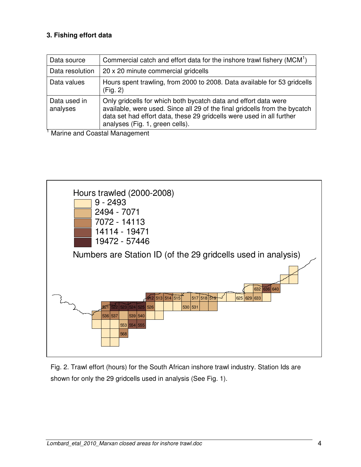## **3. Fishing effort data**

| Data source              | Commercial catch and effort data for the inshore trawl fishery (MCM <sup>1</sup> )                                                                                                                                                                        |
|--------------------------|-----------------------------------------------------------------------------------------------------------------------------------------------------------------------------------------------------------------------------------------------------------|
| Data resolution          | 20 x 20 minute commercial gridcells                                                                                                                                                                                                                       |
| Data values              | Hours spent trawling, from 2000 to 2008. Data available for 53 gridcells<br>(Fig. 2)                                                                                                                                                                      |
| Data used in<br>analyses | Only gridcells for which both bycatch data and effort data were<br>available, were used. Since all 29 of the final gridcells from the bycatch<br>data set had effort data, these 29 gridcells were used in all further<br>analyses (Fig. 1, green cells). |

<sup>1</sup> Marine and Coastal Management



Fig. 2. Trawl effort (hours) for the South African inshore trawl industry. Station Ids are shown for only the 29 gridcells used in analysis (See Fig. 1).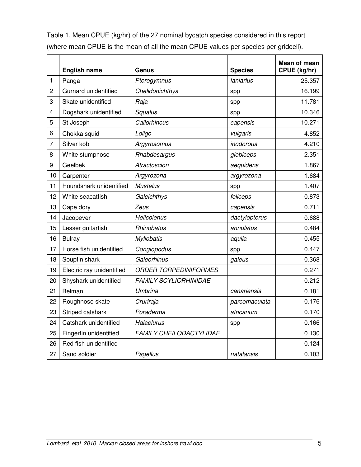Table 1. Mean CPUE (kg/hr) of the 27 nominal bycatch species considered in this report (where mean CPUE is the mean of all the mean CPUE values per species per gridcell).

|                | <b>English name</b>       | Genus                          | <b>Species</b> | Mean of mean<br>CPUE (kg/hr) |
|----------------|---------------------------|--------------------------------|----------------|------------------------------|
| 1              | Panga                     | Pterogymnus                    | laniarius      | 25.357                       |
| $\overline{c}$ | Gurnard unidentified      | Chelidonichthys                | spp            | 16.199                       |
| 3              | Skate unidentified        | Raja                           | spp            | 11.781                       |
| $\overline{4}$ | Dogshark unidentified     | Squalus                        | spp            | 10.346                       |
| 5              | St Joseph                 | Callorhincus                   | capensis       | 10.271                       |
| 6              | Chokka squid              | Loligo                         | vulgaris       | 4.852                        |
| $\overline{7}$ | Silver kob                | Argyrosomus                    | inodorous      | 4.210                        |
| 8              | White stumpnose           | Rhabdosargus                   | globiceps      | 2.351                        |
| 9              | Geelbek                   | Atractoscion                   | aequidens      | 1.867                        |
| 10             | Carpenter                 | Argyrozona                     | argyrozona     | 1.684                        |
| 11             | Houndshark unidentified   | <b>Mustelus</b>                | spp            | 1.407                        |
| 12             | White seacatfish          | Galeichthys                    | feliceps       | 0.873                        |
| 13             | Cape dory                 | Zeus                           | capensis       | 0.711                        |
| 14             | Jacopever                 | Helicolenus                    | dactylopterus  | 0.688                        |
| 15             | Lesser guitarfish         | Rhinobatos                     | annulatus      | 0.484                        |
| 16             | <b>Bulray</b>             | <b>Myliobatis</b>              | aquila         | 0.455                        |
| 17             | Horse fish unidentified   | Congiopodus                    | spp            | 0.447                        |
| 18             | Soupfin shark             | Galeorhinus                    | galeus         | 0.368                        |
| 19             | Electric ray unidentified | <b>ORDER TORPEDINIFORMES</b>   |                | 0.271                        |
| 20             | Shyshark unidentified     | <b>FAMILY SCYLIORHINIDAE</b>   |                | 0.212                        |
| 21             | Belman                    | Umbrina                        | canariensis    | 0.181                        |
| 22             | Roughnose skate           | Cruriraja                      | parcomaculata  | 0.176                        |
| 23             | Striped catshark          | Poraderma                      | africanum      | 0.170                        |
| 24             | Catshark unidentified     | Halaelurus                     | spp            | 0.166                        |
| 25             | Fingerfin unidentified    | <b>FAMILY CHEILODACTYLIDAE</b> |                | 0.130                        |
| 26             | Red fish unidentified     |                                |                | 0.124                        |
| 27             | Sand soldier              | Pagellus                       | natalansis     | 0.103                        |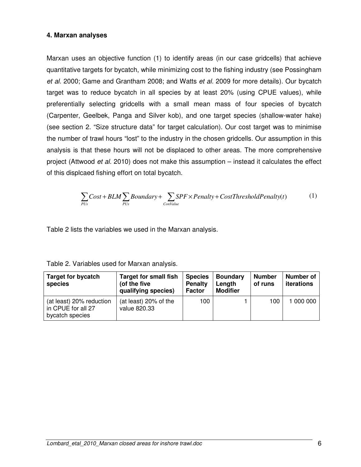#### **4. Marxan analyses**

Marxan uses an objective function (1) to identify areas (in our case gridcells) that achieve quantitative targets for bycatch, while minimizing cost to the fishing industry (see Possingham et al. 2000; Game and Grantham 2008; and Watts et al. 2009 for more details). Our bycatch target was to reduce bycatch in all species by at least 20% (using CPUE values), while preferentially selecting gridcells with a small mean mass of four species of bycatch (Carpenter, Geelbek, Panga and Silver kob), and one target species (shallow-water hake) (see section 2. "Size structure data" for target calculation). Our cost target was to minimise the number of trawl hours "lost" to the industry in the chosen gridcells. Our assumption in this analysis is that these hours will not be displaced to other areas. The more comprehensive project (Attwood *et al.* 2010) does not make this assumption – instead it calculates the effect of this displcaed fishing effort on total bycatch.

$$
\sum_{PUs} Cost + BLM \sum_{PUs} Boundary + \sum_{ConValue} SPF \times Penalty + CostThresholdPenalty(t)
$$
 (1)

Table 2 lists the variables we used in the Marxan analysis.

| <b>Target for bycatch</b><br>species                              | <b>Target for small fish</b><br>(of the five<br>qualifying species) | <b>Species</b><br><b>Penalty</b><br><b>Factor</b> | <b>Boundary</b><br>Length<br><b>Modifier</b> | <b>Number</b><br>of runs | Number of<br>iterations |
|-------------------------------------------------------------------|---------------------------------------------------------------------|---------------------------------------------------|----------------------------------------------|--------------------------|-------------------------|
| (at least) 20% reduction<br>in CPUE for all 27<br>bycatch species | (at least) 20% of the<br>value 820.33                               | 100                                               |                                              | 100                      | 1 000 000               |

Table 2. Variables used for Marxan analysis.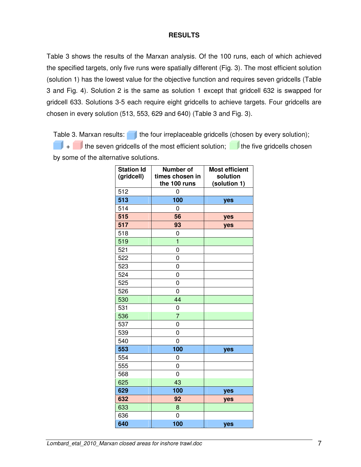#### **RESULTS**

Table 3 shows the results of the Marxan analysis. Of the 100 runs, each of which achieved the specified targets, only five runs were spatially different (Fig. 3). The most efficient solution (solution 1) has the lowest value for the objective function and requires seven gridcells (Table 3 and Fig. 4). Solution 2 is the same as solution 1 except that gridcell 632 is swapped for gridcell 633. Solutions 3-5 each require eight gridcells to achieve targets. Four gridcells are chosen in every solution (513, 553, 629 and 640) (Table 3 and Fig. 3).

Table 3. Marxan results:  $\Box$  the four irreplaceable gridcells (chosen by every solution);  $\blacksquare$  the seven gridcells of the most efficient solution;  $\blacksquare$  the five gridcells chosen by some of the alternative solutions.

| <b>Station Id</b><br>(gridcell) | <b>Number of</b><br>times chosen in<br>the 100 runs | <b>Most efficient</b><br>solution<br>(solution 1) |
|---------------------------------|-----------------------------------------------------|---------------------------------------------------|
| 512                             | 0                                                   |                                                   |
| 513                             | 100                                                 | yes                                               |
| 514                             | 0                                                   |                                                   |
| 515                             | 56                                                  | yes                                               |
| 517                             | 93                                                  | yes                                               |
| 518                             | 0                                                   |                                                   |
| 519                             | $\overline{1}$                                      |                                                   |
| 521                             | 0                                                   |                                                   |
| 522                             | 0                                                   |                                                   |
| 523                             | 0                                                   |                                                   |
| 524                             | 0                                                   |                                                   |
| 525                             | 0                                                   |                                                   |
| 526                             | 0                                                   |                                                   |
| 530                             | 44                                                  |                                                   |
| 531                             | 0                                                   |                                                   |
| 536                             | $\overline{7}$                                      |                                                   |
| 537                             | 0                                                   |                                                   |
| 539                             | 0                                                   |                                                   |
| 540                             | 0                                                   |                                                   |
| 553                             | 100                                                 | yes                                               |
| 554                             | 0                                                   |                                                   |
| 555                             | 0                                                   |                                                   |
| 568                             | 0                                                   |                                                   |
| 625                             | 43                                                  |                                                   |
| 629                             | 100                                                 | yes                                               |
| 632                             | 92                                                  | yes                                               |
| 633                             | 8                                                   |                                                   |
| 636                             | 0                                                   |                                                   |
| 640                             | 100                                                 | yes                                               |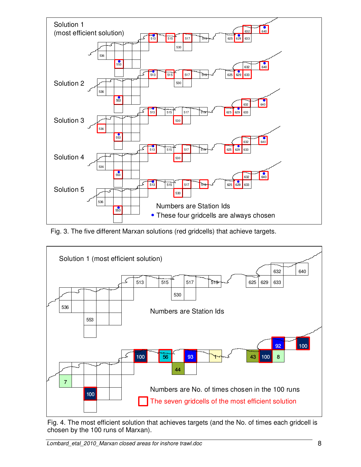

Fig. 3. The five different Marxan solutions (red gridcells) that achieve targets.



Fig. 4. The most efficient solution that achieves targets (and the No. of times each gridcell is chosen by the 100 runs of Marxan).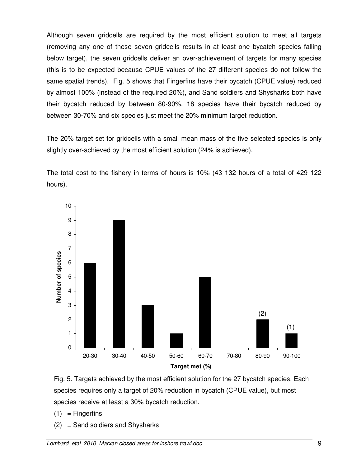Although seven gridcells are required by the most efficient solution to meet all targets (removing any one of these seven gridcells results in at least one bycatch species falling below target), the seven gridcells deliver an over-achievement of targets for many species (this is to be expected because CPUE values of the 27 different species do not follow the same spatial trends). Fig. 5 shows that Fingerfins have their bycatch (CPUE value) reduced by almost 100% (instead of the required 20%), and Sand soldiers and Shysharks both have their bycatch reduced by between 80-90%. 18 species have their bycatch reduced by between 30-70% and six species just meet the 20% minimum target reduction.

The 20% target set for gridcells with a small mean mass of the five selected species is only slightly over-achieved by the most efficient solution (24% is achieved).

The total cost to the fishery in terms of hours is 10% (43 132 hours of a total of 429 122 hours).





- $(1)$  = Fingerfins
- (2) = Sand soldiers and Shysharks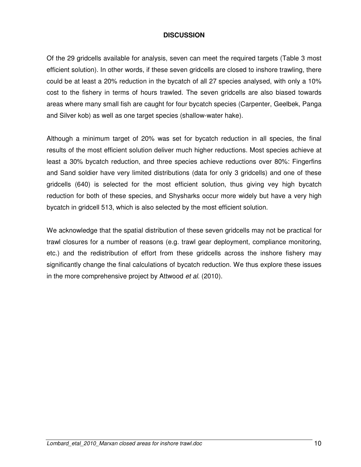#### **DISCUSSION**

Of the 29 gridcells available for analysis, seven can meet the required targets (Table 3 most efficient solution). In other words, if these seven gridcells are closed to inshore trawling, there could be at least a 20% reduction in the bycatch of all 27 species analysed, with only a 10% cost to the fishery in terms of hours trawled. The seven gridcells are also biased towards areas where many small fish are caught for four bycatch species (Carpenter, Geelbek, Panga and Silver kob) as well as one target species (shallow-water hake).

Although a minimum target of 20% was set for bycatch reduction in all species, the final results of the most efficient solution deliver much higher reductions. Most species achieve at least a 30% bycatch reduction, and three species achieve reductions over 80%: Fingerfins and Sand soldier have very limited distributions (data for only 3 gridcells) and one of these gridcells (640) is selected for the most efficient solution, thus giving vey high bycatch reduction for both of these species, and Shysharks occur more widely but have a very high bycatch in gridcell 513, which is also selected by the most efficient solution.

We acknowledge that the spatial distribution of these seven gridcells may not be practical for trawl closures for a number of reasons (e.g. trawl gear deployment, compliance monitoring, etc.) and the redistribution of effort from these gridcells across the inshore fishery may significantly change the final calculations of bycatch reduction. We thus explore these issues in the more comprehensive project by Attwood *et al.* (2010).